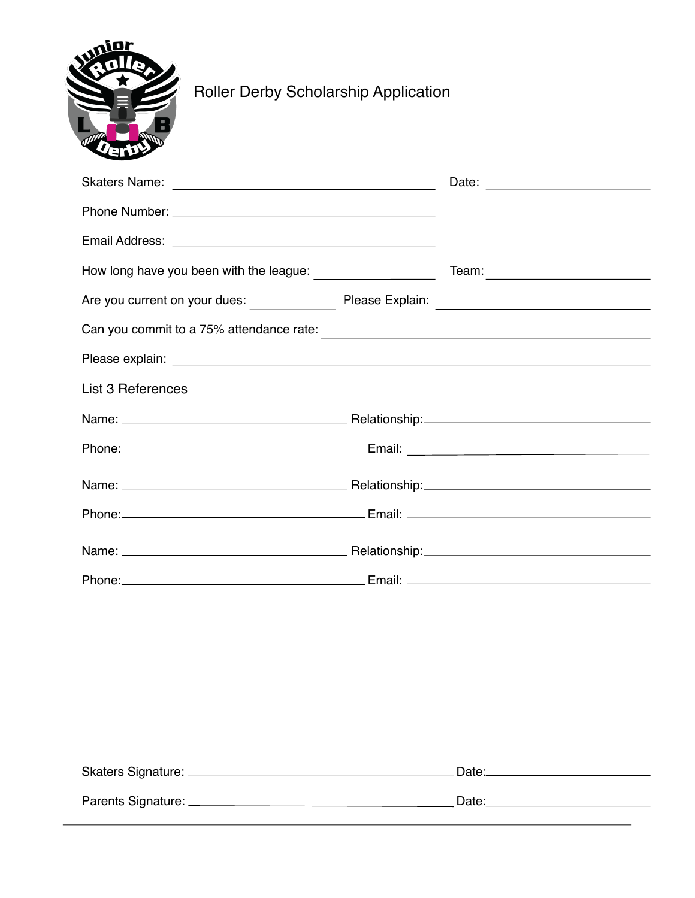

## Roller Derby Scholarship Application

|                                                                                              | Team: Team and the contract of the contract of the contract of the contract of the contract of the contract of the contract of the contract of the contract of the contract of the contract of the contract of the contract of |
|----------------------------------------------------------------------------------------------|--------------------------------------------------------------------------------------------------------------------------------------------------------------------------------------------------------------------------------|
|                                                                                              |                                                                                                                                                                                                                                |
| Can you commit to a 75% attendance rate:<br><u> Can you commit to a 75% attendance rate:</u> |                                                                                                                                                                                                                                |
|                                                                                              |                                                                                                                                                                                                                                |
| List 3 References                                                                            |                                                                                                                                                                                                                                |
|                                                                                              |                                                                                                                                                                                                                                |
|                                                                                              |                                                                                                                                                                                                                                |
|                                                                                              |                                                                                                                                                                                                                                |
|                                                                                              |                                                                                                                                                                                                                                |
|                                                                                              |                                                                                                                                                                                                                                |
|                                                                                              |                                                                                                                                                                                                                                |

| Skaters Signature: _ | Date: |
|----------------------|-------|
| Parents Signature: _ | Date: |